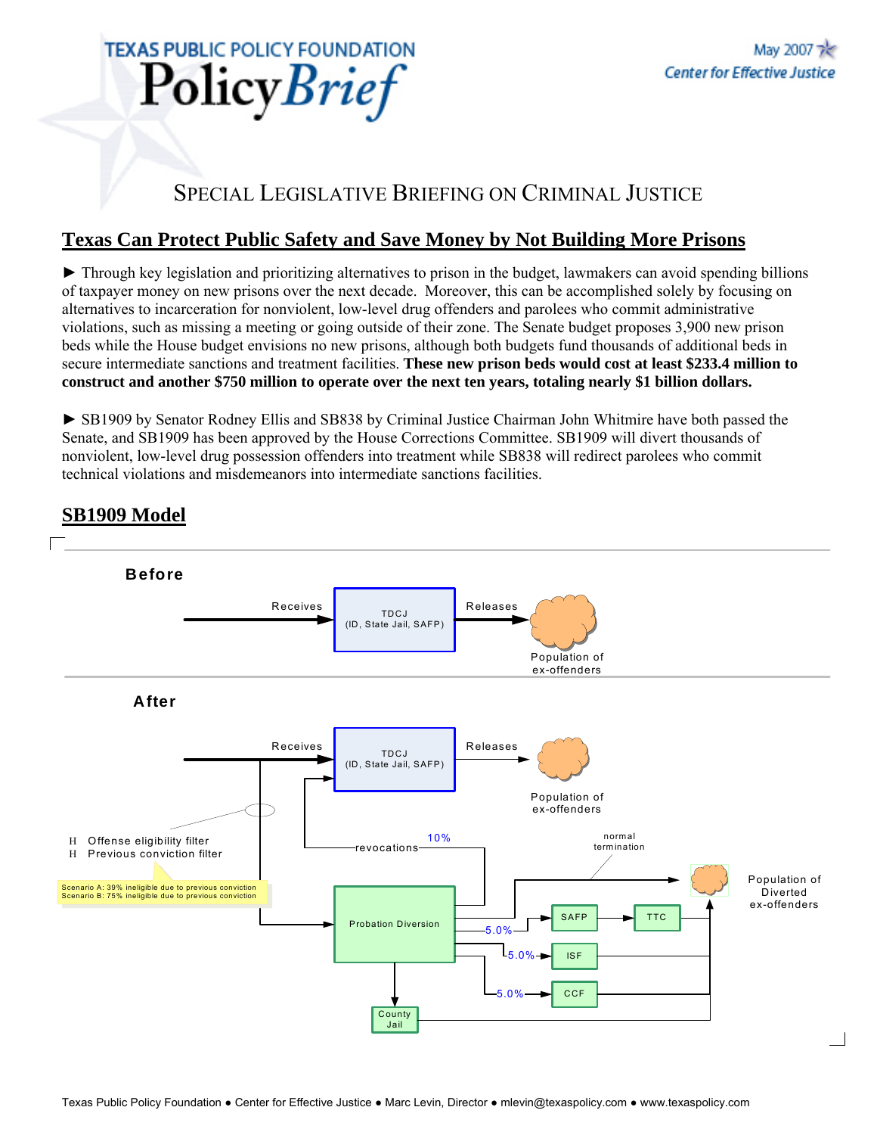

# SPECIAL LEGISLATIVE BRIEFING ON CRIMINAL JUSTICE

# **Texas Can Protect Public Safety and Save Money by Not Building More Prisons**

► Through key legislation and prioritizing alternatives to prison in the budget, lawmakers can avoid spending billions of taxpayer money on new prisons over the next decade. Moreover, this can be accomplished solely by focusing on alternatives to incarceration for nonviolent, low-level drug offenders and parolees who commit administrative violations, such as missing a meeting or going outside of their zone. The Senate budget proposes 3,900 new prison beds while the House budget envisions no new prisons, although both budgets fund thousands of additional beds in secure intermediate sanctions and treatment facilities. **These new prison beds would cost at least \$233.4 million to construct and another \$750 million to operate over the next ten years, totaling nearly \$1 billion dollars.**

► SB1909 by Senator Rodney Ellis and SB838 by Criminal Justice Chairman John Whitmire have both passed the Senate, and SB1909 has been approved by the House Corrections Committee. SB1909 will divert thousands of nonviolent, low-level drug possession offenders into treatment while SB838 will redirect parolees who commit technical violations and misdemeanors into intermediate sanctions facilities.



### **SB1909 Model**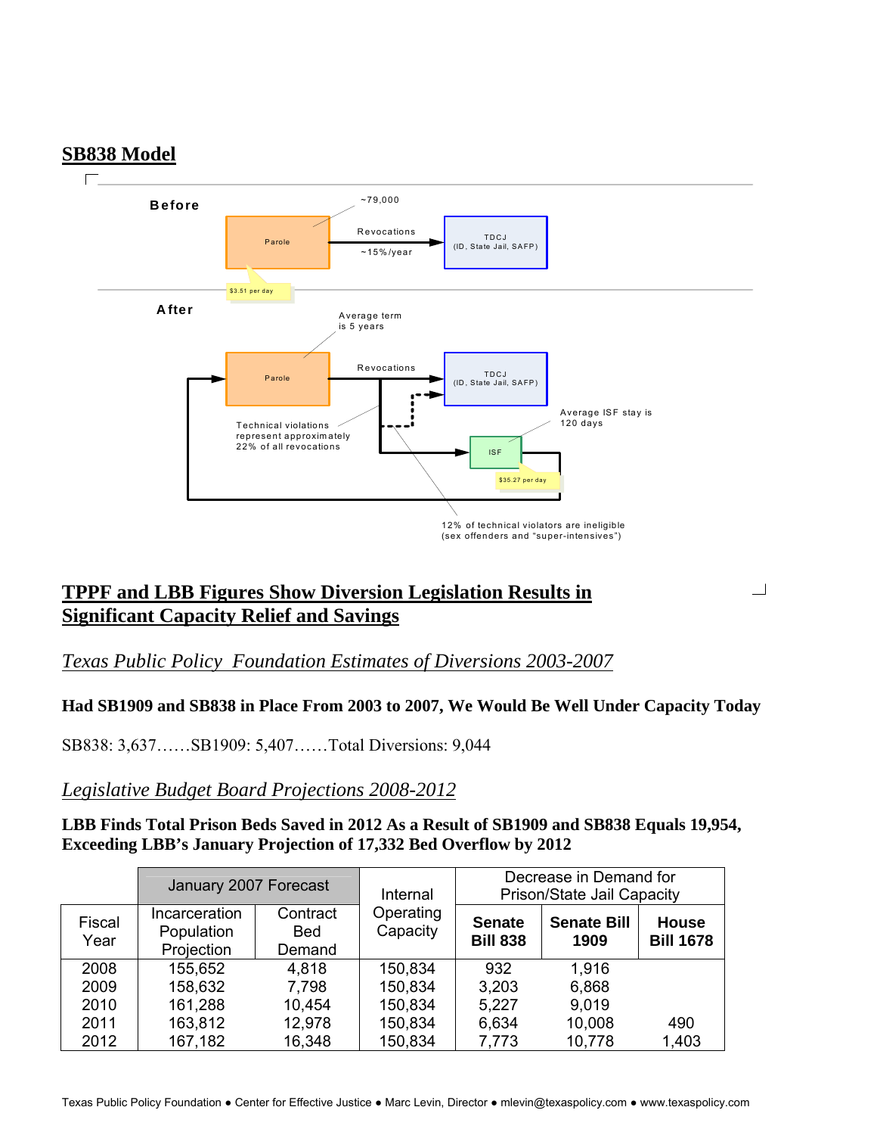

# **TPPF and LBB Figures Show Diversion Legislation Results in Significant Capacity Relief and Savings**

### *Texas Public Policy Foundation Estimates of Diversions 2003-2007*

#### **Had SB1909 and SB838 in Place From 2003 to 2007, We Would Be Well Under Capacity Today**

 $\Box$ 

SB838: 3,637……SB1909: 5,407……Total Diversions: 9,044

#### *Legislative Budget Board Projections 2008-2012*

**LBB Finds Total Prison Beds Saved in 2012 As a Result of SB1909 and SB838 Equals 19,954, Exceeding LBB's January Projection of 17,332 Bed Overflow by 2012** 

|                | January 2007 Forecast                            |                                  | Internal              | Decrease in Demand for<br>Prison/State Jail Capacity |                            |                                  |
|----------------|--------------------------------------------------|----------------------------------|-----------------------|------------------------------------------------------|----------------------------|----------------------------------|
| Fiscal<br>Year | <b>Incarceration</b><br>Population<br>Projection | Contract<br><b>Bed</b><br>Demand | Operating<br>Capacity | <b>Senate</b><br><b>Bill 838</b>                     | <b>Senate Bill</b><br>1909 | <b>House</b><br><b>Bill 1678</b> |
| 2008           | 155,652                                          | 4,818                            | 150,834               | 932                                                  | 1,916                      |                                  |
| 2009           | 158,632                                          | 7,798                            | 150,834               | 3,203                                                | 6,868                      |                                  |
| 2010           | 161,288                                          | 10,454                           | 150,834               | 5,227                                                | 9,019                      |                                  |
| 2011           | 163,812                                          | 12,978                           | 150,834               | 6,634                                                | 10,008                     | 490                              |
| 2012           | 167,182                                          | 16,348                           | 150,834               | 7,773                                                | 10,778                     | 1,403                            |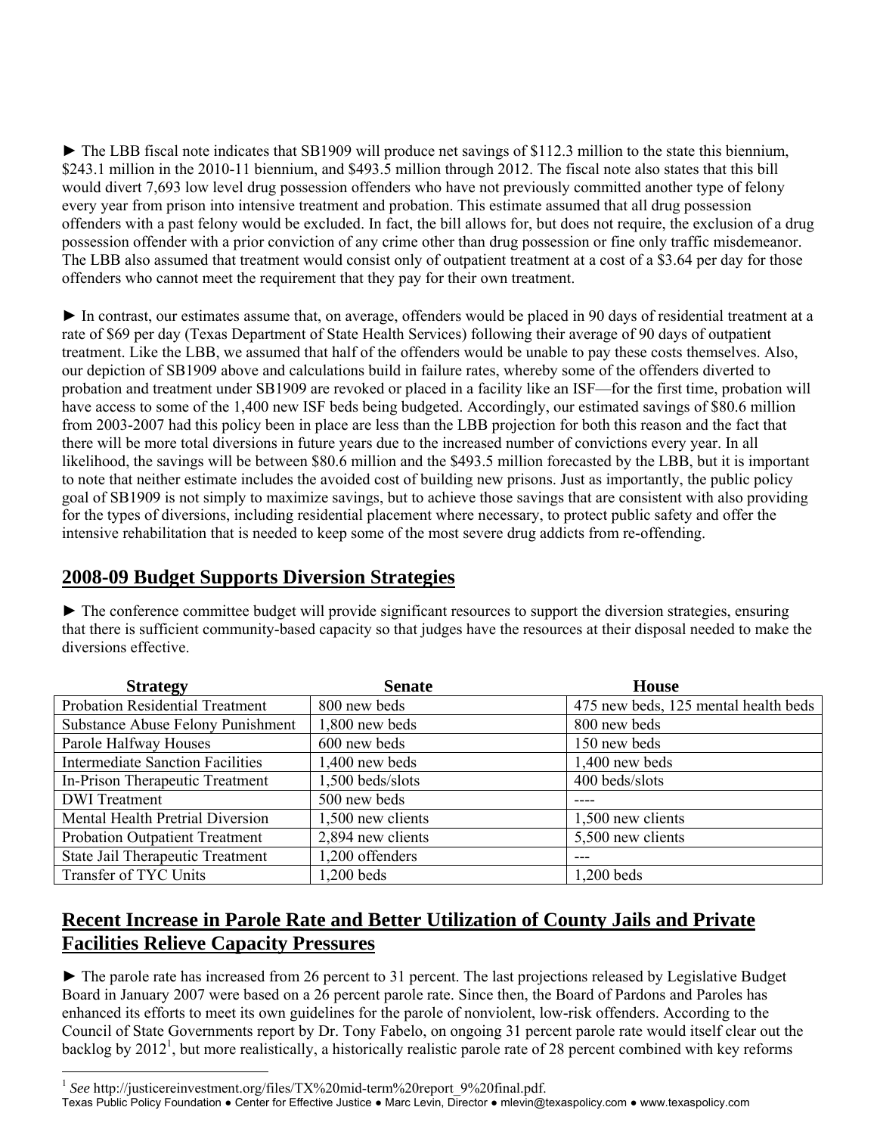► The LBB fiscal note indicates that SB1909 will produce net savings of \$112.3 million to the state this biennium, \$243.1 million in the 2010-11 biennium, and \$493.5 million through 2012. The fiscal note also states that this bill would divert 7,693 low level drug possession offenders who have not previously committed another type of felony every year from prison into intensive treatment and probation. This estimate assumed that all drug possession offenders with a past felony would be excluded. In fact, the bill allows for, but does not require, the exclusion of a drug possession offender with a prior conviction of any crime other than drug possession or fine only traffic misdemeanor. The LBB also assumed that treatment would consist only of outpatient treatment at a cost of a \$3.64 per day for those offenders who cannot meet the requirement that they pay for their own treatment.

► In contrast, our estimates assume that, on average, offenders would be placed in 90 days of residential treatment at a rate of \$69 per day (Texas Department of State Health Services) following their average of 90 days of outpatient treatment. Like the LBB, we assumed that half of the offenders would be unable to pay these costs themselves. Also, our depiction of SB1909 above and calculations build in failure rates, whereby some of the offenders diverted to probation and treatment under SB1909 are revoked or placed in a facility like an ISF—for the first time, probation will have access to some of the 1,400 new ISF beds being budgeted. Accordingly, our estimated savings of \$80.6 million from 2003-2007 had this policy been in place are less than the LBB projection for both this reason and the fact that there will be more total diversions in future years due to the increased number of convictions every year. In all likelihood, the savings will be between \$80.6 million and the \$493.5 million forecasted by the LBB, but it is important to note that neither estimate includes the avoided cost of building new prisons. Just as importantly, the public policy goal of SB1909 is not simply to maximize savings, but to achieve those savings that are consistent with also providing for the types of diversions, including residential placement where necessary, to protect public safety and offer the intensive rehabilitation that is needed to keep some of the most severe drug addicts from re-offending.

### **2008-09 Budget Supports Diversion Strategies**

► The conference committee budget will provide significant resources to support the diversion strategies, ensuring that there is sufficient community-based capacity so that judges have the resources at their disposal needed to make the diversions effective.

| <b>Strategy</b>                          | <b>Senate</b>     | <b>House</b>                         |
|------------------------------------------|-------------------|--------------------------------------|
| <b>Probation Residential Treatment</b>   | 800 new beds      | 475 new beds, 125 mental health beds |
| <b>Substance Abuse Felony Punishment</b> | 1,800 new beds    | 800 new beds                         |
| Parole Halfway Houses                    | 600 new beds      | 150 new beds                         |
| <b>Intermediate Sanction Facilities</b>  | $1,400$ new beds  | $1,400$ new beds                     |
| In-Prison Therapeutic Treatment          | 1,500 beds/slots  | 400 beds/slots                       |
| <b>DWI</b> Treatment                     | 500 new beds      |                                      |
| Mental Health Pretrial Diversion         | 1,500 new clients | 1,500 new clients                    |
| <b>Probation Outpatient Treatment</b>    | 2,894 new clients | 5,500 new clients                    |
| State Jail Therapeutic Treatment         | 1,200 offenders   |                                      |
| Transfer of TYC Units                    | 1,200 beds        | 1,200 beds                           |

# **Recent Increase in Parole Rate and Better Utilization of County Jails and Private Facilities Relieve Capacity Pressures**

► The parole rate has increased from 26 percent to 31 percent. The last projections released by Legislative Budget Board in January 2007 were based on a 26 percent parole rate. Since then, the Board of Pardons and Paroles has enhanced its efforts to meet its own guidelines for the parole of nonviolent, low-risk offenders. According to the Council of State Governments report by Dr. Tony Fabelo, on ongoing 31 percent parole rate would itself clear out the backlog by 2012<sup>1</sup>, but more realistically, a historically realistic parole rate of 28 percent combined with key reforms

 $\overline{a}$ 

Texas Public Policy Foundation ● Center for Effective Justice ● Marc Levin, Director ● mlevin@texaspolicy.com ● www.texaspolicy.com

<sup>&</sup>lt;sup>1</sup> See http://justicereinvestment.org/files/TX%20mid-term%20report\_9%20final.pdf.